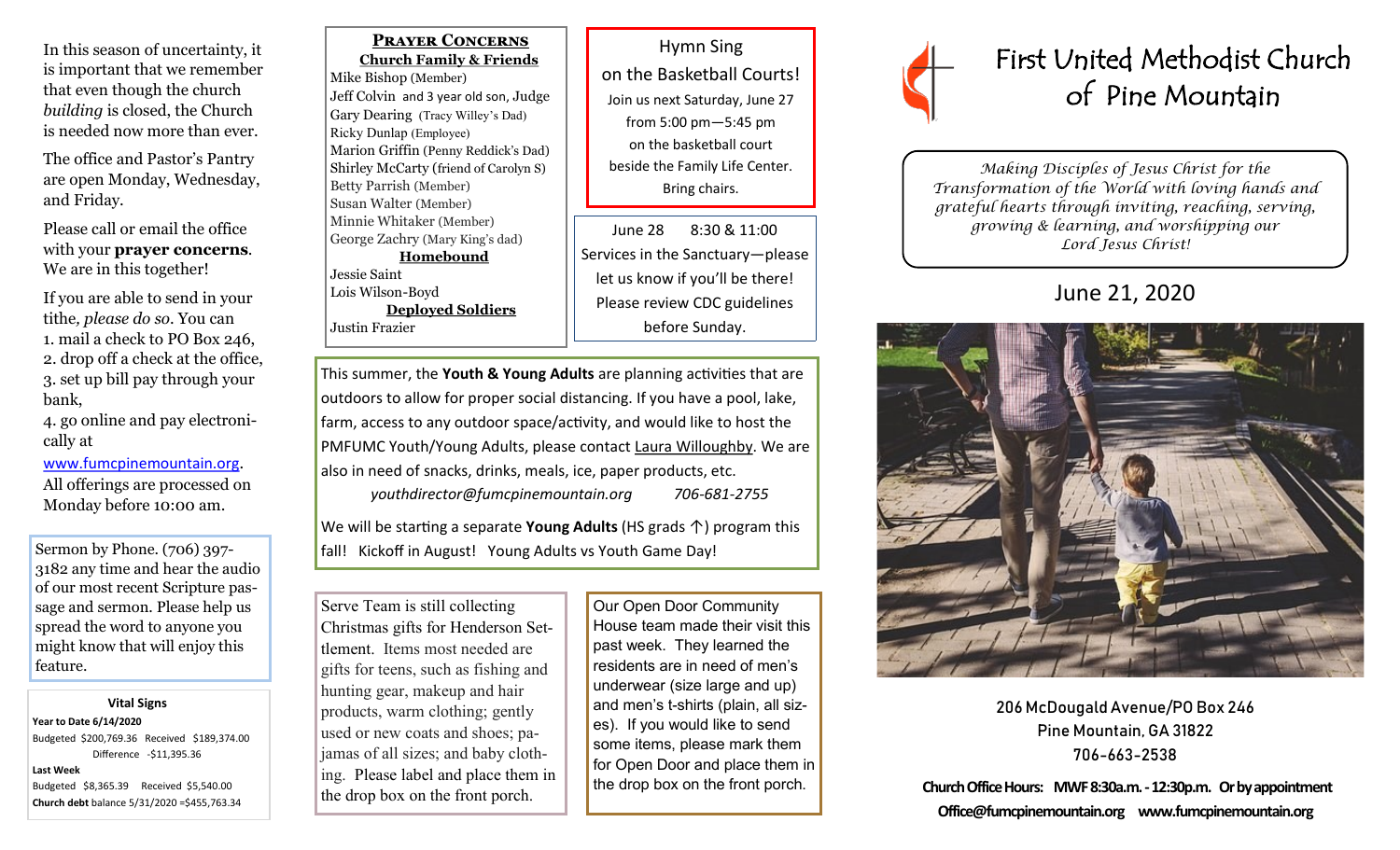In this season of uncertainty, it is important that we remember that even though the church *building* is closed, the Church is needed now more than ever.

The office and Pastor's Pantry are open Monday, Wednesday, and Friday.

Please call or email the office with your **prayer concerns**. We are in this together!

If you are able to send in your tithe*, please do so*. You can 1. mail a check to PO Box 246, 2. drop off a check at the office, 3. set up bill pay through your bank,

4. go online and pay electronically at

### [www.fumcpinemountain.org](http://www.fumcpinemountain.org).

All offerings are processed on Monday before 10:00 am.

Sermon by Phone. (706) 397- 3182 any time and hear the audio of our most recent Scripture passage and sermon. Please help us spread the word to anyone you might know that will enjoy this feature.

#### **Vital Signs**

**Year to Date 6/14/2020**  Budgeted \$200,769.36 Received \$189,374.00 Difference -\$11,395.36

#### **Last Week**

Budgeted \$8,365.39 Received \$5,540.00 **Church debt** balance 5/31/2020 =\$455,763.34

 **Prayer Concerns Church Family & Friends** Mike Bishop (Member) Jeff Colvin and 3 year old son, Judge Gary Dearing (Tracy Willey's Dad) Ricky Dunlap (Employee) Marion Griffin (Penny Reddick's Dad) Shirley McCarty (friend of Carolyn S) Betty Parrish (Member) Susan Walter (Member) Minnie Whitaker (Member) George Zachry (Mary King's dad) **Homebound** Jessie Saint Lois Wilson-Boyd

 **Deployed Soldiers** Justin Frazier

Hymn Sing on the Basketball Courts! Join us next Saturday, June 27 from 5:00 pm—5:45 pm on the basketball court beside the Family Life Center. Bring chairs.

June 28 8:30 & 11:00 Services in the Sanctuary—please let us know if you'll be there! Please review CDC guidelines before Sunday.

This summer, the **Youth & Young Adults** are planning activities that are outdoors to allow for proper social distancing. If you have a pool, lake, farm, access to any outdoor space/activity, and would like to host the PMFUMC Youth/Young Adults, please contact Laura Willoughby. We are also in need of snacks, drinks, meals, ice, paper products, etc.

*youthdirector@fumcpinemountain.org 706-681-2755*

We will be starting a separate **Young Adults** (HS grads ↑) program this fall! Kickoff in August! Young Adults vs Youth Game Day!

Serve Team is still collecting Christmas gifts for Henderson Settlement. Items most needed are gifts for teens, such as fishing and hunting gear, makeup and hair products, warm clothing; gently used or new coats and shoes; pajamas of all sizes; and baby clothing. Please label and place them in the drop box on the front porch.

Our Open Door Community House team made their visit this past week. They learned the residents are in need of men's underwear (size large and up) and men's t-shirts (plain, all sizes). If you would like to send some items, please mark them for Open Door and place them in the drop box on the front porch.



# First United Methodist Church of Pine Mountain

*Making Disciples of Jesus Christ for the Transformation of the World with loving hands and grateful hearts through inviting, reaching, serving, growing & learning, and worshipping our Lord Jesus Christ!* 

# June 21, 2020



206 McDougald Avenue/PO Box 246 Pine Mountain, GA 31822 706-663-2538

**Church Office Hours: MWF 8:30a.m. -12:30p.m. Or by appointment Office@fumcpinemountain.org www.fumcpinemountain.org**